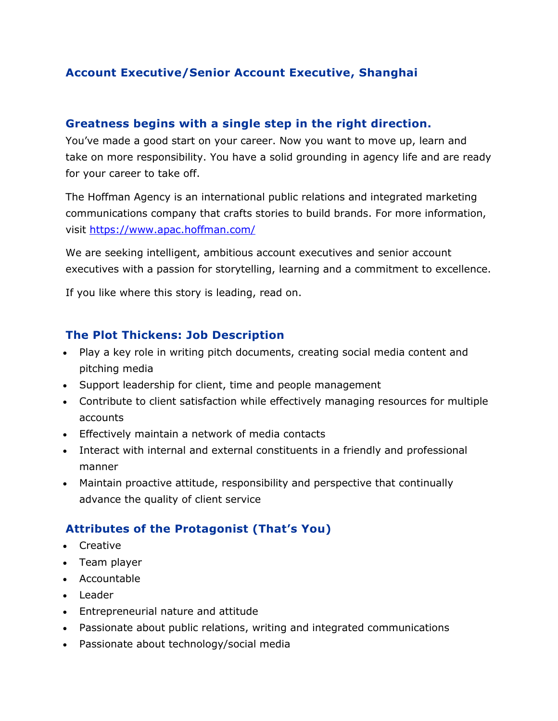# **Account Executive/Senior Account Executive, Shanghai**

#### **Greatness begins with a single step in the right direction.**

You've made a good start on your career. Now you want to move up, learn and take on more responsibility. You have a solid grounding in agency life and are ready for your career to take off.

The Hoffman Agency is an international public relations and integrated marketing communications company that crafts stories to build brands. For more information, visit<https://www.apac.hoffman.com/>

We are seeking intelligent, ambitious account executives and senior account executives with a passion for storytelling, learning and a commitment to excellence.

If you like where this story is leading, read on.

### **The Plot Thickens: Job Description**

- Play a key role in writing pitch documents, creating social media content and pitching media
- Support leadership for client, time and people management
- Contribute to client satisfaction while effectively managing resources for multiple accounts
- Effectively maintain a network of media contacts
- Interact with internal and external constituents in a friendly and professional manner
- Maintain proactive attitude, responsibility and perspective that continually advance the quality of client service

# **Attributes of the Protagonist (That's You)**

- Creative
- Team player
- Accountable
- Leader
- Entrepreneurial nature and attitude
- Passionate about public relations, writing and integrated communications
- Passionate about technology/social media